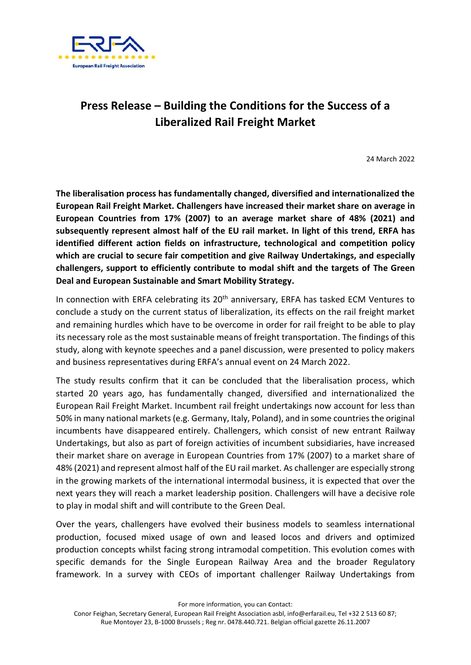

## **Press Release – Building the Conditions for the Success of a Liberalized Rail Freight Market**

24 March 2022

**The liberalisation process has fundamentally changed, diversified and internationalized the European Rail Freight Market. Challengers have increased their market share on average in European Countries from 17% (2007) to an average market share of 48% (2021) and subsequently represent almost half of the EU rail market. In light of this trend, ERFA has identified different action fields on infrastructure, technological and competition policy which are crucial to secure fair competition and give Railway Undertakings, and especially challengers, support to efficiently contribute to modal shift and the targets of The Green Deal and European Sustainable and Smart Mobility Strategy.** 

In connection with ERFA celebrating its 20<sup>th</sup> anniversary, ERFA has tasked ECM Ventures to conclude a study on the current status of liberalization, its effects on the rail freight market and remaining hurdles which have to be overcome in order for rail freight to be able to play its necessary role as the most sustainable means of freight transportation. The findings of this study, along with keynote speeches and a panel discussion, were presented to policy makers and business representatives during ERFA's annual event on 24 March 2022.

The study results confirm that it can be concluded that the liberalisation process, which started 20 years ago, has fundamentally changed, diversified and internationalized the European Rail Freight Market. Incumbent rail freight undertakings now account for less than 50% in many national markets (e.g. Germany, Italy, Poland), and in some countries the original incumbents have disappeared entirely. Challengers, which consist of new entrant Railway Undertakings, but also as part of foreign activities of incumbent subsidiaries, have increased their market share on average in European Countries from 17% (2007) to a market share of 48% (2021) and represent almost half of the EU rail market. As challenger are especially strong in the growing markets of the international intermodal business, it is expected that over the next years they will reach a market leadership position. Challengers will have a decisive role to play in modal shift and will contribute to the Green Deal.

Over the years, challengers have evolved their business models to seamless international production, focused mixed usage of own and leased locos and drivers and optimized production concepts whilst facing strong intramodal competition. This evolution comes with specific demands for the Single European Railway Area and the broader Regulatory framework. In a survey with CEOs of important challenger Railway Undertakings from

For more information, you can contact:

Conor Feighan, Secretary General, European Rail Freight Association asbl, info@erfarail.eu, Tel +32 2 513 60 87; Rue Montoyer 23, B-1000 Brussels ; Reg nr. 0478.440.721. Belgian official gazette 26.11.2007